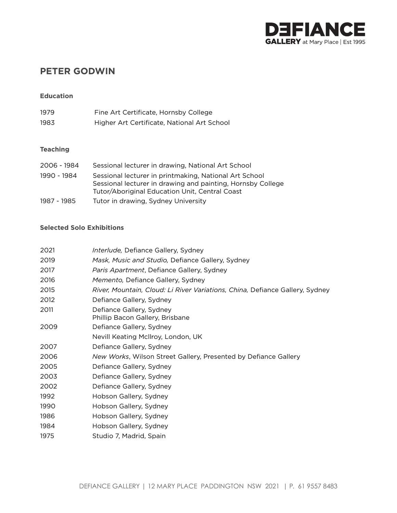

# **PETER GODWIN**

### **Education**

| 1979 | Fine Art Certificate, Hornsby College       |
|------|---------------------------------------------|
| 1983 | Higher Art Certificate, National Art School |

### **Teaching**

| 2006 - 1984 | Sessional lecturer in drawing, National Art School                                                                                                                      |
|-------------|-------------------------------------------------------------------------------------------------------------------------------------------------------------------------|
| 1990 - 1984 | Sessional lecturer in printmaking, National Art School<br>Sessional lecturer in drawing and painting, Hornsby College<br>Tutor/Aboriginal Education Unit, Central Coast |
| 1987 - 1985 | Tutor in drawing, Sydney University                                                                                                                                     |

### **Selected Solo Exhibitions**

| 2021 | Interlude, Defiance Gallery, Sydney                                          |
|------|------------------------------------------------------------------------------|
| 2019 | Mask, Music and Studio, Defiance Gallery, Sydney                             |
| 2017 | Paris Apartment, Defiance Gallery, Sydney                                    |
| 2016 | Memento, Defiance Gallery, Sydney                                            |
| 2015 | River, Mountain, Cloud: Li River Variations, China, Defiance Gallery, Sydney |
| 2012 | Defiance Gallery, Sydney                                                     |
| 2011 | Defiance Gallery, Sydney<br>Phillip Bacon Gallery, Brisbane                  |
| 2009 | Defiance Gallery, Sydney                                                     |
|      | Nevill Keating McIlroy, London, UK                                           |
| 2007 | Defiance Gallery, Sydney                                                     |
| 2006 | New Works, Wilson Street Gallery, Presented by Defiance Gallery              |
| 2005 | Defiance Gallery, Sydney                                                     |
| 2003 | Defiance Gallery, Sydney                                                     |
| 2002 | Defiance Gallery, Sydney                                                     |
| 1992 | Hobson Gallery, Sydney                                                       |
| 1990 | Hobson Gallery, Sydney                                                       |
| 1986 | Hobson Gallery, Sydney                                                       |
| 1984 | Hobson Gallery, Sydney                                                       |
| 1975 | Studio 7, Madrid, Spain                                                      |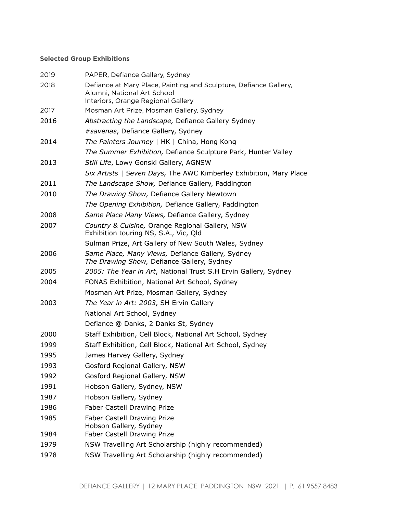## **Selected Group Exhibitions**

| 2019 | PAPER, Defiance Gallery, Sydney                                                                                                        |
|------|----------------------------------------------------------------------------------------------------------------------------------------|
| 2018 | Defiance at Mary Place, Painting and Sculpture, Defiance Gallery,<br>Alumni, National Art School<br>Interiors, Orange Regional Gallery |
| 2017 | Mosman Art Prize, Mosman Gallery, Sydney                                                                                               |
| 2016 | Abstracting the Landscape, Defiance Gallery Sydney                                                                                     |
|      | #savenas, Defiance Gallery, Sydney                                                                                                     |
| 2014 | The Painters Journey   HK   China, Hong Kong                                                                                           |
|      | The Summer Exhibition, Defiance Sculpture Park, Hunter Valley                                                                          |
| 2013 | Still Life, Lowy Gonski Gallery, AGNSW                                                                                                 |
|      | Six Artists   Seven Days, The AWC Kimberley Exhibition, Mary Place                                                                     |
| 2011 | The Landscape Show, Defiance Gallery, Paddington                                                                                       |
| 2010 | The Drawing Show, Defiance Gallery Newtown                                                                                             |
|      | The Opening Exhibition, Defiance Gallery, Paddington                                                                                   |
| 2008 | Same Place Many Views, Defiance Gallery, Sydney                                                                                        |
| 2007 | Country & Cuisine, Orange Regional Gallery, NSW<br>Exhibition touring NS, S.A., Vic, Qld                                               |
|      | Sulman Prize, Art Gallery of New South Wales, Sydney                                                                                   |
| 2006 | Same Place, Many Views, Defiance Gallery, Sydney<br>The Drawing Show, Defiance Gallery, Sydney                                         |
| 2005 | 2005: The Year in Art, National Trust S.H Ervin Gallery, Sydney                                                                        |
| 2004 | FONAS Exhibition, National Art School, Sydney                                                                                          |
|      | Mosman Art Prize, Mosman Gallery, Sydney                                                                                               |
| 2003 | The Year in Art: 2003, SH Ervin Gallery                                                                                                |
|      | National Art School, Sydney                                                                                                            |
|      | Defiance @ Danks, 2 Danks St, Sydney                                                                                                   |
| 2000 | Staff Exhibition, Cell Block, National Art School, Sydney                                                                              |
| 1999 | Staff Exhibition, Cell Block, National Art School, Sydney                                                                              |
| 1995 | James Harvey Gallery, Sydney                                                                                                           |
| 1993 | Gosford Regional Gallery, NSW                                                                                                          |
| 1992 | Gosford Regional Gallery, NSW                                                                                                          |
| 1991 | Hobson Gallery, Sydney, NSW                                                                                                            |
| 1987 | Hobson Gallery, Sydney                                                                                                                 |
| 1986 | <b>Faber Castell Drawing Prize</b>                                                                                                     |
| 1985 | <b>Faber Castell Drawing Prize</b><br>Hobson Gallery, Sydney                                                                           |
| 1984 | Faber Castell Drawing Prize                                                                                                            |
| 1979 | NSW Travelling Art Scholarship (highly recommended)                                                                                    |
| 1978 | NSW Travelling Art Scholarship (highly recommended)                                                                                    |